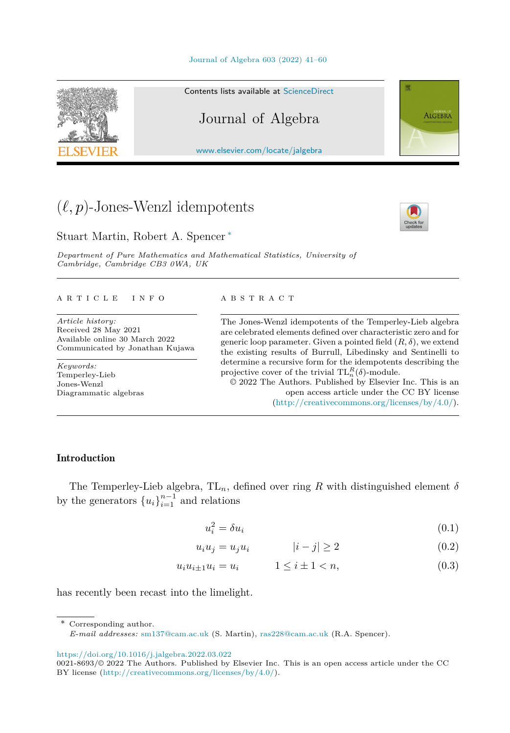

<span id="page-0-0"></span>

#### Contents lists available at [ScienceDirect](http://www.ScienceDirect.com/)

## Journal of Algebra

[www.elsevier.com/locate/jalgebra](http://www.elsevier.com/locate/jalgebra)

# $(\ell, p)$ -Jones-Wenzl idempotents

Stuart Martin, Robert A. Spencer ∗

*Department of Pure Mathematics and Mathematical Statistics, University of Cambridge, Cambridge CB3 0WA, UK*

#### A R T I C L E I N F O A B S T R A C T

*Article history:* Received 28 May 2021 Available online 30 March 2022 Communicated by Jonathan Kujawa

*Keywords:* Temperley-Lieb Jones-Wenzl Diagrammatic algebras

The Jones-Wenzl idempotents of the Temperley-Lieb algebra are celebrated elements defined over characteristic zero and for generic loop parameter. Given a pointed field  $(R, \delta)$ , we extend the existing results of Burrull, Libedinsky and Sentinelli to determine a recursive form for the idempotents describing the projective cover of the trivial  $TL_n^R(\delta)$ -module.

© 2022 The Authors. Published by Elsevier Inc. This is an open access article under the CC BY license (<http://creativecommons.org/licenses/by/4.0/>).

#### Introduction

The Temperley-Lieb algebra,  $TL_n$ , defined over ring *R* with distinguished element  $\delta$ by the generators  ${u_i}_{i=1}^{n-1}$  and relations

$$
u_i^2 = \delta u_i \tag{0.1}
$$

$$
u_i u_j = u_j u_i \qquad |i - j| \ge 2 \qquad (0.2)
$$

$$
u_i u_{i \pm 1} u_i = u_i \qquad \qquad 1 \le i \pm 1 < n,\tag{0.3}
$$

has recently been recast into the limelight.

Corresponding author.

*E-mail addresses:* [sm137@cam.ac.uk](mailto:sm137@cam.ac.uk) (S. Martin), [ras228@cam.ac.uk](mailto:ras228@cam.ac.uk) (R.A. Spencer).

<https://doi.org/10.1016/j.jalgebra.2022.03.022>



**ALGEBRA** 

<sup>0021-8693/©</sup> 2022 The Authors. Published by Elsevier Inc. This is an open access article under the CC BY license [\(http://creativecommons.org/licenses/by/4.0/](http://creativecommons.org/licenses/by/4.0/)).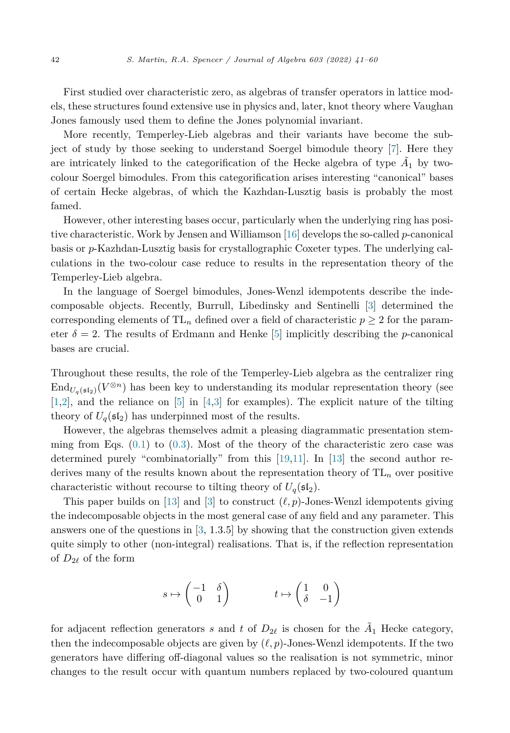First studied over characteristic zero, as algebras of transfer operators in lattice models, these structures found extensive use in physics and, later, knot theory where Vaughan Jones famously used them to define the Jones polynomial invariant.

More recently, Temperley-Lieb algebras and their variants have become the subject of study by those seeking to understand Soergel bimodule theory [\[7](#page-18-0)]. Here they are intricately linked to the categorification of the Hecke algebra of type  $\tilde{A}_1$  by twocolour Soergel bimodules. From this categorification arises interesting "canonical" bases of certain Hecke algebras, of which the Kazhdan-Lusztig basis is probably the most famed.

However, other interesting bases occur, particularly when the underlying ring has positive characteristic. Work by Jensen and Williamson [[16\]](#page-19-0) develops the so-called *p*-canonical basis or *p*-Kazhdan-Lusztig basis for crystallographic Coxeter types. The underlying calculations in the two-colour case reduce to results in the representation theory of the Temperley-Lieb algebra.

In the language of Soergel bimodules, Jones-Wenzl idempotents describe the indecomposable objects. Recently, Burrull, Libedinsky and Sentinelli [\[3](#page-18-0)] determined the corresponding elements of  $TL_n$  defined over a field of characteristic  $p \geq 2$  for the parameter  $\delta = 2$ . The results of Erdmann and Henke [\[5](#page-18-0)] implicitly describing the *p*-canonical bases are crucial.

Throughout these results, the role of the Temperley-Lieb algebra as the centralizer ring  $\text{End}_{U_q(\mathfrak{sl}_2)}(V^{\otimes n})$  has been key to understanding its modular representation theory (see [\[1,2](#page-18-0)], and the reliance on [\[5\]](#page-18-0) in [\[4](#page-18-0),[3\]](#page-18-0) for examples). The explicit nature of the tilting theory of  $U_q(\mathfrak{sl}_2)$  has underpinned most of the results.

However, the algebras themselves admit a pleasing diagrammatic presentation stemming from Eqs.  $(0.1)$  $(0.1)$  to  $(0.3)$  $(0.3)$ . Most of the theory of the characteristic zero case was determined purely "combinatorially" from this [[19,](#page-19-0)[11\]](#page-18-0). In [[13\]](#page-18-0) the second author rederives many of the results known about the representation theory of  $TL_n$  over positive characteristic without recourse to tilting theory of  $U_q(\mathfrak{sl}_2)$ .

This paper builds on [[13\]](#page-18-0) and [[3\]](#page-18-0) to construct  $(\ell, p)$ -Jones-Wenzl idempotents giving the indecomposable objects in the most general case of any field and any parameter. This answers one of the questions in  $[3, 1.3.5]$  $[3, 1.3.5]$  $[3, 1.3.5]$  by showing that the construction given extends quite simply to other (non-integral) realisations. That is, if the reflection representation of  $D_{2\ell}$  of the form

$$
s \mapsto \begin{pmatrix} -1 & \delta \\ 0 & 1 \end{pmatrix} \qquad t \mapsto \begin{pmatrix} 1 & 0 \\ \delta & -1 \end{pmatrix}
$$

for adjacent reflection generators *s* and *t* of  $D_{2\ell}$  is chosen for the  $\tilde{A}_1$  Hecke category, then the indecomposable objects are given by  $(\ell, p)$ -Jones-Wenzl idempotents. If the two generators have differing off-diagonal values so the realisation is not symmetric, minor changes to the result occur with quantum numbers replaced by two-coloured quantum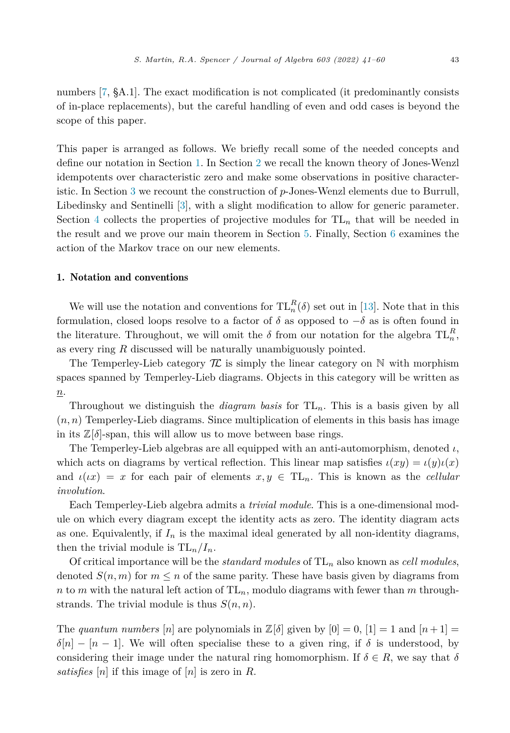numbers [\[7](#page-18-0), §A.1]. The exact modification is not complicated (it predominantly consists of in-place replacements), but the careful handling of even and odd cases is beyond the scope of this paper.

This paper is arranged as follows. We briefly recall some of the needed concepts and define our notation in Section 1. In Section [2](#page-3-0) we recall the known theory of Jones-Wenzl idempotents over characteristic zero and make some observations in positive characteristic. In Section [3](#page-9-0) we recount the construction of *p*-Jones-Wenzl elements due to Burrull, Libedinsky and Sentinelli [[3\]](#page-18-0), with a slight modification to allow for generic parameter. Section [4](#page-12-0) collects the properties of projective modules for TL*<sup>n</sup>* that will be needed in the result and we prove our main theorem in Section [5](#page-13-0). Finally, Section [6](#page-15-0) examines the action of the Markov trace on our new elements.

#### 1. Notation and conventions

We will use the notation and conventions for  $TL_n^R(\delta)$  set out in [[13\]](#page-18-0). Note that in this formulation, closed loops resolve to a factor of  $\delta$  as opposed to  $-\delta$  as is often found in the literature. Throughout, we will omit the  $\delta$  from our notation for the algebra  $TL_n^R$ , as every ring *R* discussed will be naturally unambiguously pointed.

The Temperley-Lieb category  $\mathcal T$  is simply the linear category on  $\mathbb N$  with morphism spaces spanned by Temperley-Lieb diagrams. Objects in this category will be written as *n*.

Throughout we distinguish the *diagram basis* for TL*n*. This is a basis given by all  $(n, n)$  Temperley-Lieb diagrams. Since multiplication of elements in this basis has image in its  $\mathbb{Z}[\delta]$ -span, this will allow us to move between base rings.

The Temperley-Lieb algebras are all equipped with an anti-automorphism, denoted *ι*, which acts on diagrams by vertical reflection. This linear map satisfies  $\iota(xy) = \iota(y)\iota(x)$ and  $\iota(x) = x$  for each pair of elements  $x, y \in TL_n$ . This is known as the *cellular involution*.

Each Temperley-Lieb algebra admits a *trivial module*. This is a one-dimensional module on which every diagram except the identity acts as zero. The identity diagram acts as one. Equivalently, if  $I_n$  is the maximal ideal generated by all non-identity diagrams, then the trivial module is  $TL_n/I_n$ .

Of critical importance will be the *standard modules* of  $TL_n$  also known as *cell modules*, denoted  $S(n, m)$  for  $m \leq n$  of the same parity. These have basis given by diagrams from *n* to *m* with the natural left action of  $TL_n$ , modulo diagrams with fewer than *m* throughstrands. The trivial module is thus  $S(n, n)$ .

The *quantum* numbers [n] are polynomials in  $\mathbb{Z}[\delta]$  given by  $[0] = 0$ ,  $[1] = 1$  and  $[n+1] =$  $\delta[n]$  − [*n* − 1]. We will often specialise these to a given ring, if  $\delta$  is understood, by considering their image under the natural ring homomorphism. If  $\delta \in R$ , we say that  $\delta$ *satisfies* [*n*] if this image of [*n*] is zero in *R*.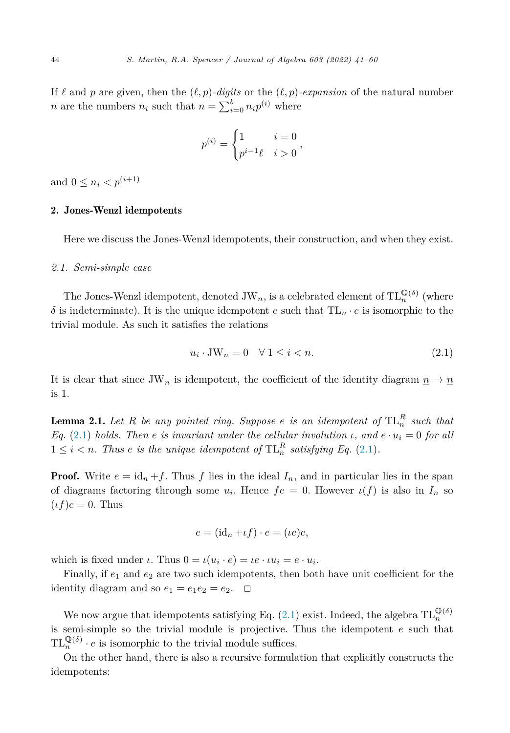<span id="page-3-0"></span>If  $\ell$  and p are given, then the  $(\ell, p)$ *-digits* or the  $(\ell, p)$ *-expansion* of the natural number *n* are the numbers  $n_i$  such that  $n = \sum_{i=0}^{b} n_i p^{(i)}$  where

$$
p^{(i)} = \begin{cases} 1 & i = 0 \\ p^{i-1}\ell & i > 0 \end{cases}
$$

and  $0 \leq n_i < p^{(i+1)}$ 

### 2. Jones-Wenzl idempotents

Here we discuss the Jones-Wenzl idempotents, their construction, and when they exist.

#### *2.1. Semi-simple case*

The Jones-Wenzl idempotent, denoted  $JW_n$ , is a celebrated element of  $TL_n^{\mathbb{Q}(\delta)}$  (where  $δ$  is indeterminate). It is the unique idempotent *e* such that  $TL_n \cdot e$  is isomorphic to the trivial module. As such it satisfies the relations

$$
u_i \cdot \text{JW}_n = 0 \quad \forall \ 1 \le i < n. \tag{2.1}
$$

It is clear that since JW<sub>n</sub> is idempotent, the coefficient of the identity diagram  $p \to p$ is 1.

**Lemma 2.1.** Let  $R$  be any pointed ring. Suppose  $e$  is an idempotent of  $TL_n^R$  such that *Eq.* (2.1) *holds. Then e is invariant under the cellular involution ι*, and  $e \cdot u_i = 0$  *for all*  $1 \leq i < n$ . Thus *e* is the unique idempotent of  $TL_n^R$  satisfying Eq. (2.1).

**Proof.** Write  $e = id_n + f$ . Thus f lies in the ideal  $I_n$ , and in particular lies in the span of diagrams factoring through some  $u_i$ . Hence  $fe = 0$ . However  $\iota(f)$  is also in  $I_n$  so  $(t f)e = 0$ . Thus

$$
e = (\mathrm{id}_n + \iota f) \cdot e = (\iota e)e,
$$

which is fixed under *ι*. Thus  $0 = \iota(u_i \cdot e) = \iota e \cdot \iota u_i = e \cdot u_i$ .

Finally, if  $e_1$  and  $e_2$  are two such idempotents, then both have unit coefficient for the identity diagram and so  $e_1 = e_1 e_2 = e_2$ .  $\Box$ 

We now argue that idempotents satisfying Eq.  $(2.1)$  exist. Indeed, the algebra  $TL_n^{\mathbb{Q}(\delta)}$ is semi-simple so the trivial module is projective. Thus the idempotent *e* such that  $TL_n^{\mathbb{Q}(\delta)} \cdot e$  is isomorphic to the trivial module suffices.

On the other hand, there is also a recursive formulation that explicitly constructs the idempotents: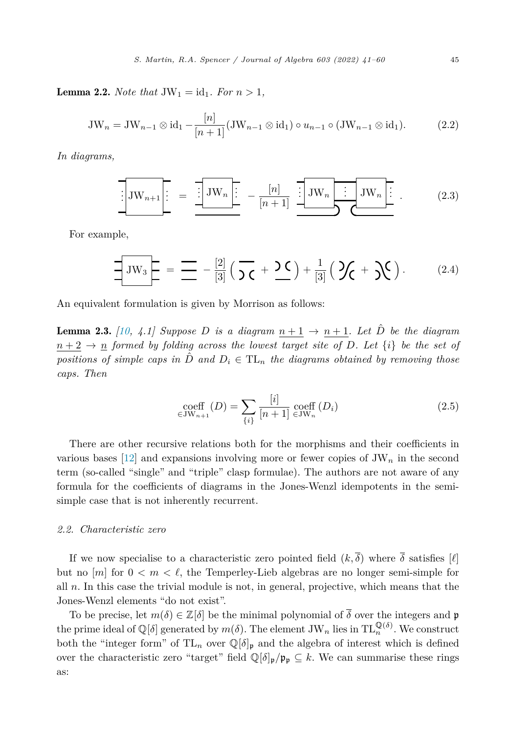<span id="page-4-0"></span>**Lemma 2.2.** *Note that*  $JW_1 = id_1$ *. For*  $n > 1$ *,* 

JW<sub>n</sub> = JW<sub>n-1</sub> 
$$
\otimes
$$
 id<sub>1</sub>  $-\frac{[n]}{[n+1]}(JW_{n-1} \otimes id_1) \circ u_{n-1} \circ (JW_{n-1} \otimes id_1).$  (2.2)

*In diagrams,*

$$
\boxed{\text{JW}_{n+1} \begin{bmatrix} \vdots \\ \vdots \end{bmatrix} = \frac{\boxed{\text{JW}_n \begin{bmatrix} \vdots \\ \vdots \end{bmatrix}} - \frac{[n]}{[n+1]} \begin{bmatrix} \text{JW}_n \\ \vdots \end{bmatrix} \text{JW}_n \begin{bmatrix} \vdots \\ \vdots \end{bmatrix}} \text{JW}_n \begin{bmatrix} \vdots \\ \vdots \end{bmatrix}} \tag{2.3}
$$

For example,

$$
\frac{1}{\sqrt{3}}\mathbf{JW}_{3} = \frac{1}{\sqrt{3}} = -\frac{2}{\sqrt{3}}\left(\frac{1}{\sqrt{6}} + \frac{1}{\sqrt{6}}\right) + \frac{1}{\sqrt{3}}\left(\frac{1}{\sqrt{6}} + \frac{1}{\sqrt{6}}\right). \tag{2.4}
$$

An equivalent formulation is given by Morrison as follows:

**Lemma 2.3.** [\[10,](#page-18-0) 4.1] Suppose D is a diagram  $n+1 \rightarrow n+1$ . Let  $\hat{D}$  be the diagram  $n+2 \rightarrow n$  *formed by folding across the lowest target site of D. Let*  $\{i\}$  *be the set of positions of simple caps* in  $\hat{D}$  *and*  $D_i \in TL_n$  *the diagrams obtained by removing those caps. Then*

$$
\underset{\in \text{JW}_{n+1}}{\text{coeff}}(D) = \sum_{\{i\}} \frac{[i]}{[n+1]} \underset{\in \text{JW}_n}{\text{coeff}} (D_i) \tag{2.5}
$$

There are other recursive relations both for the morphisms and their coefficients in various bases  $[12]$  $[12]$  and expansions involving more or fewer copies of JW<sub>n</sub> in the second term (so-called "single" and "triple" clasp formulae). The authors are not aware of any formula for the coefficients of diagrams in the Jones-Wenzl idempotents in the semisimple case that is not inherently recurrent.

#### *2.2. Characteristic zero*

If we now specialise to a characteristic zero pointed field  $(k, \overline{\delta})$  where  $\overline{\delta}$  satisfies  $[\ell]$ but no  $[m]$  for  $0 < m < \ell$ , the Temperley-Lieb algebras are no longer semi-simple for all *n*. In this case the trivial module is not, in general, projective, which means that the Jones-Wenzl elements "do not exist".

To be precise, let  $m(\delta) \in \mathbb{Z}[\delta]$  be the minimal polynomial of  $\overline{\delta}$  over the integers and p the prime ideal of  $\mathbb{Q}[\delta]$  generated by  $m(\delta)$ . The element JW<sub>n</sub> lies in  $TL_n^{\mathbb{Q}(\delta)}$ . We construct both the "integer form" of  $TL_n$  over  $\mathbb{Q}[\delta]_p$  and the algebra of interest which is defined over the characteristic zero "target" field  $\mathbb{Q}[\delta]_{\mathfrak{p}}/\mathfrak{p}_{\mathfrak{p}} \subseteq k$ . We can summarise these rings as: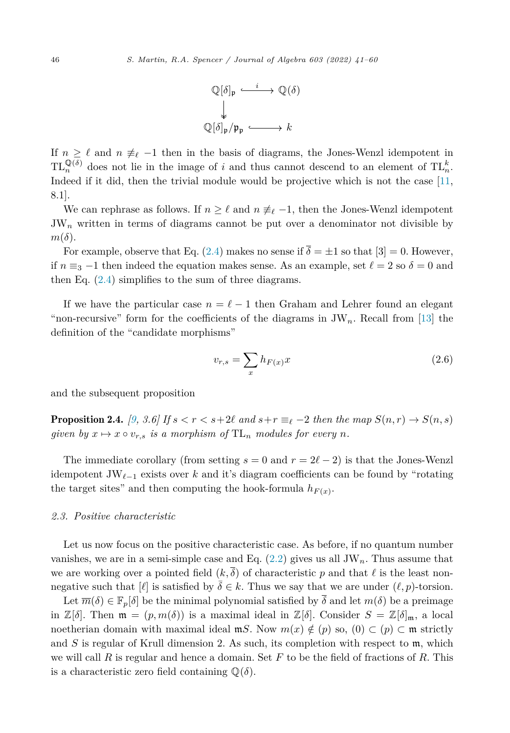

<span id="page-5-0"></span>If  $n \geq \ell$  and  $n \neq \ell -1$  then in the basis of diagrams, the Jones-Wenzl idempotent in  $TL_n^{\mathbb{Q}(\delta)}$  does not lie in the image of *i* and thus cannot descend to an element of  $TL_n^k$ . Indeed if it did, then the trivial module would be projective which is not the case [[11,](#page-18-0) 8.1].

We can rephrase as follows. If  $n \geq \ell$  and  $n \neq \ell-1$ , then the Jones-Wenzl idempotent  $JW_n$  written in terms of diagrams cannot be put over a denominator not divisible by *m*(*δ*).

For example, observe that Eq. [\(2.4](#page-4-0)) makes no sense if  $\overline{\delta} = \pm 1$  so that  $|3| = 0$ . However, if  $n \equiv_3 -1$  then indeed the equation makes sense. As an example, set  $\ell = 2$  so  $\delta = 0$  and then Eq.  $(2.4)$  $(2.4)$  $(2.4)$  simplifies to the sum of three diagrams.

If we have the particular case  $n = \ell - 1$  then Graham and Lehrer found an elegant "non-recursive" form for the coefficients of the diagrams in  $JW_n$ . Recall from [[13\]](#page-18-0) the definition of the "candidate morphisms"

$$
v_{r,s} = \sum_{x} h_{F(x)} x \tag{2.6}
$$

and the subsequent proposition

**Proposition 2.4.** [\[9,](#page-18-0) 3.6] If  $s < r < s+2\ell$  and  $s+r \equiv_{\ell} -2$  then the map  $S(n,r) \rightarrow S(n,s)$ *given by*  $x \mapsto x \circ v_{r,s}$  *is a morphism of*  $TL_n$  *modules for every n*.

The immediate corollary (from setting  $s = 0$  and  $r = 2\ell - 2$ ) is that the Jones-Wenzl idempotent JW<sub>ℓ−1</sub> exists over *k* and it's diagram coefficients can be found by "rotating the target sites" and then computing the hook-formula  $h_{F(x)}$ .

#### *2.3. Positive characteristic*

Let us now focus on the positive characteristic case. As before, if no quantum number vanishes, we are in a semi-simple case and Eq.  $(2.2)$  $(2.2)$  $(2.2)$  gives us all JW<sub>n</sub>. Thus assume that we are working over a pointed field  $(k, \overline{\delta})$  of characteristic p and that  $\ell$  is the least nonnegative such that  $[\ell]$  is satisfied by  $\overline{\delta} \in k$ . Thus we say that we are under  $(\ell, p)$ -torsion.

Let  $\overline{m}(\delta) \in \mathbb{F}_p[\delta]$  be the minimal polynomial satisfied by  $\overline{\delta}$  and let  $m(\delta)$  be a preimage in  $\mathbb{Z}[\delta]$ . Then  $\mathfrak{m} = (p, m(\delta))$  is a maximal ideal in  $\mathbb{Z}[\delta]$ . Consider  $S = \mathbb{Z}[\delta]_{\mathfrak{m}}$ , a local noetherian domain with maximal ideal  $mS$ . Now  $m(x) \notin (p)$  so,  $(0) \subset (p) \subset m$  strictly and *S* is regular of Krull dimension 2. As such, its completion with respect to m, which we will call *R* is regular and hence a domain. Set *F* to be the field of fractions of *R*. This is a characteristic zero field containing  $\mathbb{Q}(\delta)$ .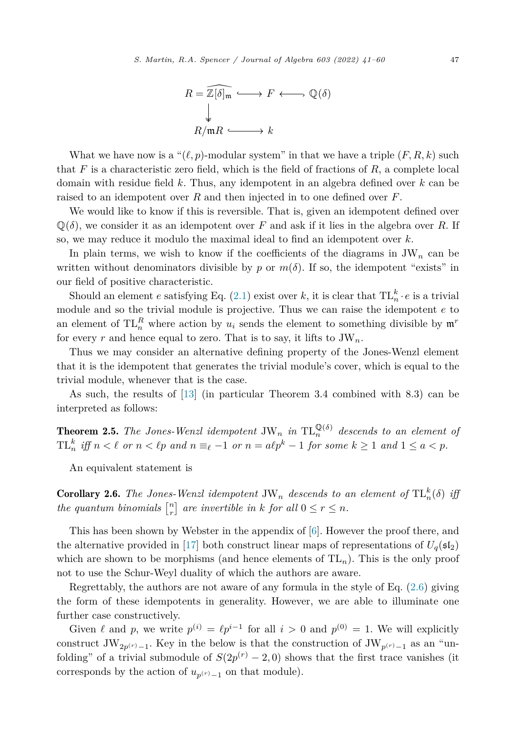

<span id="page-6-0"></span>What we have now is a " $(\ell, p)$ -modular system" in that we have a triple  $(F, R, k)$  such that *F* is a characteristic zero field, which is the field of fractions of *R*, a complete local domain with residue field *k*. Thus, any idempotent in an algebra defined over *k* can be raised to an idempotent over *R* and then injected in to one defined over *F*.

We would like to know if this is reversible. That is, given an idempotent defined over  $\mathbb{Q}(\delta)$ , we consider it as an idempotent over *F* and ask if it lies in the algebra over *R*. If so, we may reduce it modulo the maximal ideal to find an idempotent over *k*.

In plain terms, we wish to know if the coefficients of the diagrams in  $JW_n$  can be written without denominators divisible by *p* or  $m(\delta)$ . If so, the idempotent "exists" in our field of positive characteristic.

Should an element *e* satisfying Eq. [\(2.1](#page-3-0)) exist over *k*, it is clear that  $TL_n^k \cdot e$  is a trivial module and so the trivial module is projective. Thus we can raise the idempotent *e* to an element of  $TL_n^R$  where action by  $u_i$  sends the element to something divisible by  $\mathfrak{m}^r$ for every r and hence equal to zero. That is to say, it lifts to  $JW_n$ .

Thus we may consider an alternative defining property of the Jones-Wenzl element that it is the idempotent that generates the trivial module's cover, which is equal to the trivial module, whenever that is the case.

As such, the results of [\[13](#page-18-0)] (in particular Theorem 3.4 combined with 8.3) can be interpreted as follows:

**Theorem 2.5.** The Jones-Wenzl idempotent  $JW_n$  *in*  $TL_n^{\mathbb{Q}(\delta)}$  *descends to an element of*  $TL_n^k$  iff  $n < \ell$  or  $n < \ell p$  and  $n \equiv_{\ell} -1$  or  $n = a\ell p^k - 1$  for some  $k \ge 1$  and  $1 \le a < p$ .

An equivalent statement is

**Corollary 2.6.** The Jones-Wenzl idempotent  $JW_n$  descends to an element of  $TL_n^k(\delta)$  iff *the quantum binomials*  $\begin{bmatrix} n \\ r \end{bmatrix}$  *are invertible in k for all*  $0 \le r \le n$ *.* 

This has been shown by Webster in the appendix of [[6\]](#page-18-0). However the proof there, and the alternative provided in [[17\]](#page-19-0) both construct linear maps of representations of  $U_q(\mathfrak{sl}_2)$ which are shown to be morphisms (and hence elements of  $TL_n$ ). This is the only proof not to use the Schur-Weyl duality of which the authors are aware.

Regrettably, the authors are not aware of any formula in the style of Eq. ([2.6](#page-5-0)) giving the form of these idempotents in generality. However, we are able to illuminate one further case constructively.

Given  $\ell$  and  $p$ , we write  $p^{(i)} = \ell p^{i-1}$  for all  $i > 0$  and  $p^{(0)} = 1$ . We will explicitly construct JW<sub>2*p*</sub>(*r*)−1. Key in the below is that the construction of JW<sub>*p*</sub>(*r*)−1 as an "unfolding" of a trivial submodule of  $S(2p^{(r)} - 2, 0)$  shows that the first trace vanishes (it corresponds by the action of  $u_{p(r)-1}$  on that module).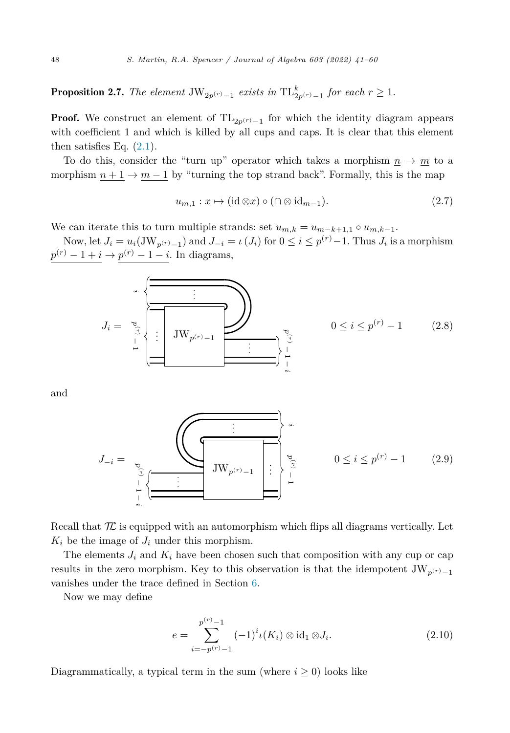<span id="page-7-0"></span>**Proposition 2.7.** The element  $JW_{2p^{(r)}-1}$  exists in  $TL_{2p^{(r)}-1}^k$  for each  $r \geq 1$ .

**Proof.** We construct an element of  $TL_{2p(r)-1}$  for which the identity diagram appears with coefficient 1 and which is killed by all cups and caps. It is clear that this element then satisfies Eq.  $(2.1)$  $(2.1)$ .

To do this, consider the "turn up" operator which takes a morphism  $n \to m$  to a morphism  $n + 1 \rightarrow m - 1$  by "turning the top strand back". Formally, this is the map

$$
u_{m,1}: x \mapsto (\mathrm{id} \otimes x) \circ (\cap \otimes \mathrm{id}_{m-1}).\tag{2.7}
$$

We can iterate this to turn multiple strands: set  $u_{m,k} = u_{m-k+1,1} \circ u_{m,k-1}$ .

Now, let  $J_i = u_i(\text{JW}_{p^{(r)}-1})$  and  $J_{-i} = \iota(J_i)$  for  $0 \leq i \leq p^{(r)}-1$ . Thus  $J_i$  is a morphism  $p^{(r)} - 1 + i \rightarrow p^{(r)} - 1 - i$ . In diagrams,

*<sup>J</sup><sup>i</sup>* <sup>=</sup> JW*p*(*r*)−<sup>1</sup> . . . *pr*) − 1 *i* . . . *p*) − 1 *i* . . . <sup>0</sup> <sup>≤</sup> *<sup>i</sup>* <sup>≤</sup> *<sup>p</sup>*(*r*) <sup>−</sup> 1 (2.8)

and

*<sup>J</sup>*−*<sup>i</sup>* <sup>=</sup> JW*p*(*r*)−<sup>1</sup> . . . *pr*) 1 . *<sup>i</sup>* . . *pr*) − 1 − *i* . . . <sup>0</sup> <sup>≤</sup> *<sup>i</sup>* <sup>≤</sup> *<sup>p</sup>*(*r*) <sup>−</sup> 1 (2.9)

Recall that  $\mathcal K$  is equipped with an automorphism which flips all diagrams vertically. Let  $K_i$  be the image of  $J_i$  under this morphism.

The elements  $J_i$  and  $K_i$  have been chosen such that composition with any cup or cap results in the zero morphism. Key to this observation is that the idempotent  $JW_{p(r)-1}$ vanishes under the trace defined in Section [6.](#page-15-0)

Now we may define

$$
e = \sum_{i=-p^{(r)}-1}^{p^{(r)}-1} (-1)^{i} \iota(K_i) \otimes \text{id}_1 \otimes J_i.
$$
 (2.10)

Diagrammatically, a typical term in the sum (where  $i \geq 0$ ) looks like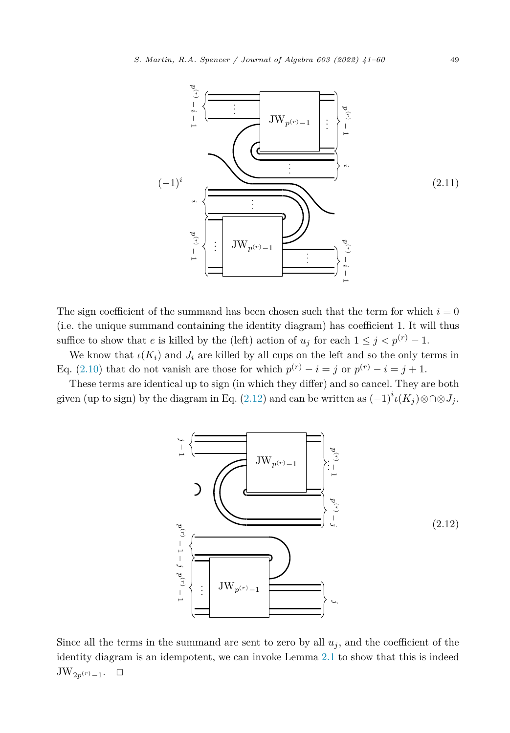

The sign coefficient of the summand has been chosen such that the term for which  $i = 0$ (i.e. the unique summand containing the identity diagram) has coefficient 1. It will thus suffice to show that *e* is killed by the (left) action of  $u_j$  for each  $1 \leq j < p^{(r)} - 1$ .

We know that  $\iota(K_i)$  and  $J_i$  are killed by all cups on the left and so the only terms in Eq. [\(2.10](#page-7-0)) that do not vanish are those for which  $p^{(r)} - i = j$  or  $p^{(r)} - i = j + 1$ .

These terms are identical up to sign (in which they differ) and so cancel. They are both given (up to sign) by the diagram in Eq. (2.12) and can be written as  $(-1)^i \iota(K_j) \otimes \bigcap \otimes J_j$ .



Since all the terms in the summand are sent to zero by all  $u_j$ , and the coefficient of the identity diagram is an idempotent, we can invoke Lemma [2.1](#page-3-0) to show that this is indeed  $\text{JW}_{2p^{(r)}-1}$ .  $□$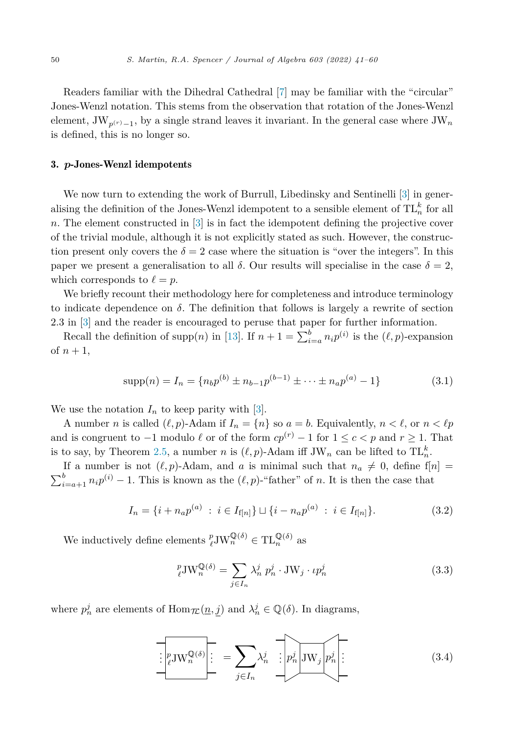<span id="page-9-0"></span>Readers familiar with the Dihedral Cathedral [\[7\]](#page-18-0) may be familiar with the "circular" Jones-Wenzl notation. This stems from the observation that rotation of the Jones-Wenzl element,  $JW_{p}(r)$ <sub>-1</sub>, by a single strand leaves it invariant. In the general case where  $JW_n$ is defined, this is no longer so.

#### 3. *p*-Jones-Wenzl idempotents

We now turn to extending the work of Burrull, Libedinsky and Sentinelli [[3\]](#page-18-0) in generalising the definition of the Jones-Wenzl idempotent to a sensible element of  $TL_n^k$  for all *n*. The element constructed in [\[3](#page-18-0)] is in fact the idempotent defining the projective cover of the trivial module, although it is not explicitly stated as such. However, the construction present only covers the  $\delta = 2$  case where the situation is "over the integers". In this paper we present a generalisation to all  $\delta$ . Our results will specialise in the case  $\delta = 2$ , which corresponds to  $\ell = p$ .

We briefly recount their methodology here for completeness and introduce terminology to indicate dependence on  $\delta$ . The definition that follows is largely a rewrite of section 2.3 in [\[3](#page-18-0)] and the reader is encouraged to peruse that paper for further information.

Recall the definition of supp $(n)$  in [[13\]](#page-18-0). If  $n + 1 = \sum_{i=a}^{b} n_i p^{(i)}$  is the  $(\ell, p)$ -expansion of  $n+1$ ,

$$
supp(n) = I_n = \{ n_b p^{(b)} \pm n_{b-1} p^{(b-1)} \pm \dots \pm n_a p^{(a)} - 1 \}
$$
\n(3.1)

We use the notation  $I_n$  to keep parity with [[3\]](#page-18-0).

A number *n* is called  $(\ell, p)$ -Adam if  $I_n = \{n\}$  so  $a = b$ . Equivalently,  $n < \ell$ , or  $n < \ell p$ and is congruent to  $-1$  modulo  $\ell$  or of the form  $cp^{(r)} - 1$  for  $1 \leq c < p$  and  $r \geq 1$ . That is to say, by Theorem [2.5](#page-6-0), a number *n* is  $(\ell, p)$ -Adam iff JW<sub>*n*</sub> can be lifted to TL<sup>k</sup><sub>n</sub>.

If a number is not  $(\ell, p)$ -Adam, and *a* is minimal such that  $n_a \neq 0$ , define  $f[n] =$  $\sum_{i=a+1}^{b} n_i p^{(i)} - 1$ . This is known as the  $(\ell, p)$ -"father" of *n*. It is then the case that

$$
I_n = \{i + n_a p^{(a)} : i \in I_{f[n]}\} \sqcup \{i - n_a p^{(a)} : i \in I_{f[n]}\}.
$$
\n(3.2)

We inductively define elements  $_{\ell}^{p} J W_{n}^{\mathbb{Q}(\delta)} \in TL_{n}^{\mathbb{Q}(\delta)}$  as

$$
{}_{\ell}^{p} \text{JW}_{n}^{\mathbb{Q}(\delta)} = \sum_{j \in I_{n}} \lambda_{n}^{j} p_{n}^{j} \cdot \text{JW}_{j} \cdot \iota p_{n}^{j}
$$
 (3.3)

where  $p_n^j$  are elements of  $\text{Hom}_{\mathcal{TL}}(\underline{n}, \underline{j})$  and  $\lambda_n^j \in \mathbb{Q}(\delta)$ . In diagrams,

$$
\boxed{\left| \mathcal{P}_{\ell} \mathbf{J} \mathbf{W}_{n}^{\mathbb{Q}(\delta)} \right|} = \sum_{j \in I_{n}} \lambda_{n}^{j} \quad \boxed{\left| p_{n}^{j} \right| \mathbf{J} \mathbf{W}_{j} \left| p_{n}^{j} \right|} \tag{3.4}
$$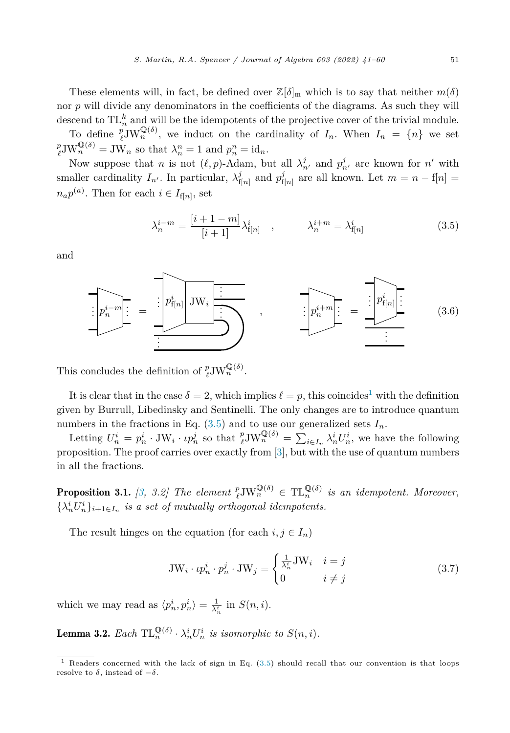<span id="page-10-0"></span>These elements will, in fact, be defined over  $\mathbb{Z}[\delta]_{\mathfrak{m}}$  which is to say that neither  $m(\delta)$ nor *p* will divide any denominators in the coefficients of the diagrams. As such they will descend to  $TL_n^k$  and will be the idempotents of the projective cover of the trivial module.

To define  $_{\ell}^{p} J W_{n}^{\mathbb{Q}(\delta)}$ , we induct on the cardinality of  $I_{n}$ . When  $I_{n} = \{n\}$  we set  $p_{\mathbf{I} \mathbf{W}}^{\mathbb{Q}(\delta)} = \mathbf{I} \mathbf{W}_{n}$  so that  $\lambda^{n} = 1$  and  $n^{n} = id$  $p_{\ell}^p \text{JW}_n^{\mathbb{Q}(\delta)} = \text{JW}_n$  so that  $\lambda_n^n = 1$  and  $p_n^n = \text{id}_n$ .

Now suppose that *n* is not  $(\ell, p)$ -Adam, but all  $\lambda_n^j$  and  $p_{n'}^j$  are known for *n'* with smaller cardinality  $I_{n'}$ . In particular,  $\lambda_{f[n]}^j$  and  $p_{f[n]}^j$  are all known. Let  $m = n - f[n] =$  $n_a p^{(a)}$ . Then for each  $i \in I_{f[n]}$ , set

$$
\lambda_n^{i-m} = \frac{[i+1-m]}{[i+1]} \lambda_{f[n]}^i , \qquad \lambda_n^{i+m} = \lambda_{f[n]}^i
$$
 (3.5)

and



This concludes the definition of  $_{\ell}^{p}JW_{n}^{\mathbb{Q}(\delta)}$ .

It is clear that in the case  $\delta = 2$ , which implies  $\ell = p$ , this coincides<sup>1</sup> with the definition given by Burrull, Libedinsky and Sentinelli. The only changes are to introduce quantum numbers in the fractions in Eq.  $(3.5)$  and to use our generalized sets  $I_n$ .

Letting  $U_n^i = p_n^i \cdot \text{JW}_i \cdot \iota p_n^j$  so that  $_{\ell}^p \text{JW}_n^{\mathbb{Q}(\delta)} = \sum_{i \in I_n} \lambda_n^i U_n^i$ , we have the following proposition. The proof carries over exactly from [[3\]](#page-18-0), but with the use of quantum numbers in all the fractions.

**Proposition 3.1.** [[3,](#page-18-0) 3.2] The element  $_{\ell}^{p}JW_{n}^{\mathbb{Q}(\delta)} \in TL_{n}^{\mathbb{Q}(\delta)}$  is an idempotent. Moreover,  $\{\lambda_n^i U_n^i\}_{i+1 \in I_n}$  *is a set of mutually orthogonal idempotents.* 

The result hinges on the equation (for each  $i, j \in I_n$ )

$$
JW_i \cdot \iota p_n^i \cdot p_n^j \cdot JW_j = \begin{cases} \frac{1}{\lambda_n^i} JW_i & i = j\\ 0 & i \neq j \end{cases}
$$
 (3.7)

which we may read as  $\langle p_n^i, p_n^i \rangle = \frac{1}{\lambda_n^i}$  in  $S(n, i)$ .

**Lemma 3.2.** Each  $TL_n^{\mathbb{Q}(\delta)} \cdot \lambda_n^i U_n^i$  is isomorphic to  $S(n,i)$ .

Readers concerned with the lack of sign in Eq. (3.5) should recall that our convention is that loops resolve to  $\delta$ , instead of  $-\delta$ .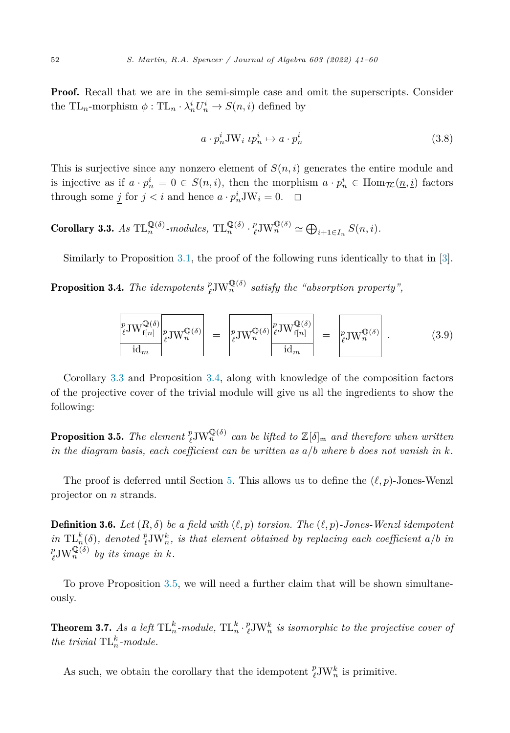<span id="page-11-0"></span>**Proof.** Recall that we are in the semi-simple case and omit the superscripts. Consider the TL<sub>n</sub>-morphism  $\phi:$  TL<sub>n</sub>  $\cdot \lambda_n^i U_n^i \to S(n,i)$  defined by

$$
a \cdot p_n^i \mathcal{J} \mathcal{W}_i \; \iota p_n^i \mapsto a \cdot p_n^i \tag{3.8}
$$

This is surjective since any nonzero element of  $S(n,i)$  generates the entire module and is injective as if  $a \cdot p_n^i = 0 \in S(n,i)$ , then the morphism  $a \cdot p_n^i \in \text{Hom}_{\mathcal{TL}}(\underline{n},\underline{i})$  factors through some  $\underline{j}$  for  $j < i$  and hence  $a \cdot p_n^i J W_i = 0$ .  $\Box$ 

Corollary 3.3. *As*  $TL_n^{\mathbb{Q}(\delta)}$ *-modules*,  $TL_n^{\mathbb{Q}(\delta)} \cdot {}_e^p \text{JW}_n^{\mathbb{Q}(\delta)} \simeq \bigoplus_{i+1 \in I_n} S(n, i)$ *.* 

Similarly to Proposition [3.1](#page-10-0), the proof of the following runs identically to that in [[3\]](#page-18-0).

**Proposition 3.4.** *The idempotents*  $^p_{\ell}$ JW $^{\mathbb{Q}(\delta)}$  *satisfy the "absorption property",* 

$$
\frac{\binom{p}{\ell} \mathbf{J} \mathbf{W}^{\mathbb{Q}(\delta)}_{f[n]}}{\mathrm{id}_m} \binom{p}{\ell} \mathbf{J} \mathbf{W}^{\mathbb{Q}(\delta)}_{n} = \frac{\binom{p}{\ell} \mathbf{J} \mathbf{W}^{\mathbb{Q}(\delta)}_{f[n]}}{\mathrm{id}_m} = \frac{\binom{p}{\ell} \mathbf{J} \mathbf{W}^{\mathbb{Q}(\delta)}_{n}}{\mathrm{id}_m} . \tag{3.9}
$$

Corollary 3.3 and Proposition 3.4, along with knowledge of the composition factors of the projective cover of the trivial module will give us all the ingredients to show the following:

**Proposition 3.5.** The element  $_{\ell}^{p}$ JW $_{n}^{Q(\delta)}$  can be lifted to  $\mathbb{Z}[\delta]_{m}$  and therefore when written *in the diagram basis, each coefficient can be written as*  $a/b$  *where b does not vanish in*  $k$ *.* 

The proof is deferred until Section [5](#page-13-0). This allows us to define the  $(\ell, p)$ -Jones-Wenzl projector on *n* strands.

**Definition 3.6.** Let  $(R, \delta)$  be a field with  $(\ell, p)$  torsion. The  $(\ell, p)$ -Jones-Wenzl idempotent in  $\mathrm{TL}_{n}^{k}(\delta)$ , denoted  ${}_{\ell}^{p} \mathrm{JW}_{n}^{k}$ , is that element obtained by replacing each coefficient a/b in  $_{\ell}^{p}$ JW $_{n}^{\mathbb{Q}(\delta)}$  *by its image in k.* 

To prove Proposition 3.5, we will need a further claim that will be shown simultaneously.

**Theorem 3.7.** As a left  $TL_n^k$ -module,  $TL_n^k \cdot {p \atop \ell} \n\mathcal{W}_n^k$  is isomorphic to the projective cover of *the trivial*  $TL_n^k$ *-module.* 

As such, we obtain the corollary that the idempotent  $^p_{\ell}$ JW<sub>n</sub><sup>k</sup> is primitive.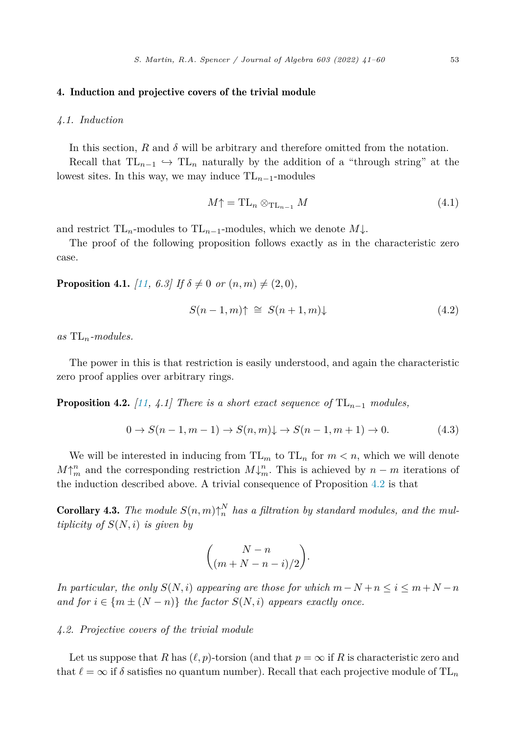#### <span id="page-12-0"></span>4. Induction and projective covers of the trivial module

#### *4.1. Induction*

In this section,  $R$  and  $\delta$  will be arbitrary and therefore omitted from the notation.

Recall that  $TL_{n-1} \hookrightarrow TL_n$  naturally by the addition of a "through string" at the lowest sites. In this way, we may induce  $TL_{n-1}$ -modules

$$
M\uparrow = \mathrm{TL}_n \otimes_{\mathrm{TL}_{n-1}} M \tag{4.1}
$$

and restrict  $TL_n$ -modules to  $TL_{n-1}$ -modules, which we denote  $M\downarrow$ .

The proof of the following proposition follows exactly as in the characteristic zero case.

**Proposition 4.1.** *[[11](#page-18-0), 6.3]* If  $\delta \neq 0$  *or*  $(n, m) \neq (2, 0)$ *,* 

$$
S(n-1,m)\uparrow \cong S(n+1,m)\downarrow \tag{4.2}
$$

*as* TL*n-modules.*

The power in this is that restriction is easily understood, and again the characteristic zero proof applies over arbitrary rings.

**Proposition 4.2.** *[[11](#page-18-0), 4.1] There is a short exact sequence of*  $TL_{n-1}$  *modules,* 

$$
0 \to S(n-1, m-1) \to S(n, m) \downarrow \to S(n-1, m+1) \to 0. \tag{4.3}
$$

We will be interested in inducing from  $TL_m$  to  $TL_n$  for  $m < n$ , which we will denote  $M\uparrow_m^n$  and the corresponding restriction  $M\downarrow_m^n$ . This is achieved by  $n-m$  iterations of the induction described above. A trivial consequence of Proposition 4.2 is that

**Corollary 4.3.** *The module*  $S(n, m) \uparrow_n^N$  *has a filtration by standard modules, and the multiplicity of*  $S(N,i)$  *is given by* 

$$
\binom{N-n}{(m+N-n-i)/2}.
$$

*In particular, the only*  $S(N,i)$  *appearing are those for which*  $m-N+n \leq i \leq m+N-n$ *and for*  $i \in \{m \pm (N - n)\}$  *the factor*  $S(N, i)$  *appears exactly once.* 

#### *4.2. Projective covers of the trivial module*

Let us suppose that *R* has  $(\ell, p)$ -torsion (and that  $p = \infty$  if *R* is characteristic zero and that  $\ell = \infty$  if  $\delta$  satisfies no quantum number). Recall that each projective module of TL<sub>n</sub>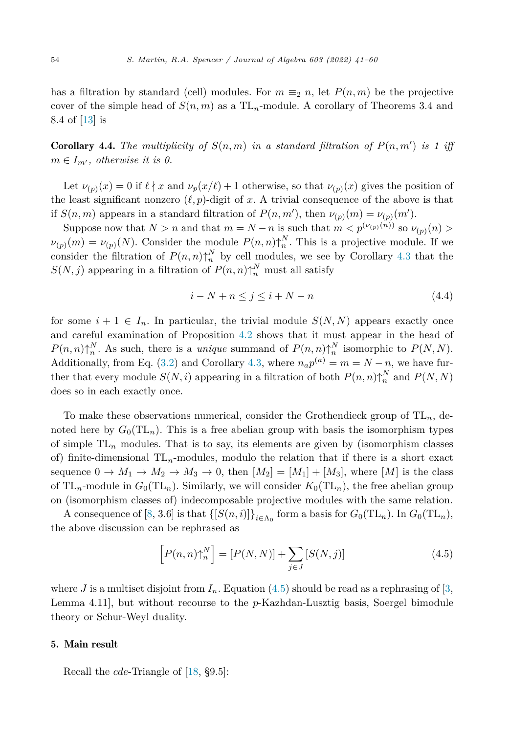<span id="page-13-0"></span>has a filtration by standard (cell) modules. For  $m \equiv_2 n$ , let  $P(n,m)$  be the projective cover of the simple head of  $S(n,m)$  as a  $TL_n$ -module. A corollary of Theorems 3.4 and 8.4 of [\[13](#page-18-0)] is

**Corollary 4.4.** The multiplicity of  $S(n,m)$  in a standard filtration of  $P(n,m')$  is 1 iff  $m \in I_{m'}$ , *otherwise it is*  $0$ .

Let  $\nu_{(p)}(x) = 0$  if  $\ell \nmid x$  and  $\nu_p(x/\ell) + 1$  otherwise, so that  $\nu_{(p)}(x)$  gives the position of the least significant nonzero  $(\ell, p)$ -digit of x. A trivial consequence of the above is that if  $S(n,m)$  appears in a standard filtration of  $P(n,m')$ , then  $\nu_{(p)}(m) = \nu_{(p)}(m')$ .

Suppose now that  $N > n$  and that  $m = N - n$  is such that  $m < p^{(\nu(p)(n))}$  so  $\nu_{(p)}(n) >$  $\nu_{(p)}(m) = \nu_{(p)}(N)$ . Consider the module  $P(n,n)\uparrow_n^N$ . This is a projective module. If we consider the filtration of  $P(n,n)\uparrow_n^N$  by cell modules, we see by Corollary [4.3](#page-12-0) that the  $S(N, j)$  appearing in a filtration of  $P(n, n)$ <sup>N</sup><sub>n</sub> must all satisfy

$$
i - N + n \le j \le i + N - n \tag{4.4}
$$

for some  $i + 1 \in I_n$ . In particular, the trivial module  $S(N, N)$  appears exactly once and careful examination of Proposition [4.2](#page-12-0) shows that it must appear in the head of  $P(n,n)\uparrow_n^N$ . As such, there is a *unique* summand of  $P(n,n)\uparrow_n^N$  isomorphic to  $P(N,N)$ . Additionally, from Eq. [\(3.2](#page-9-0)) and Corollary [4.3](#page-12-0), where  $n_a p^{(a)} = m = N - n$ , we have further that every module  $S(N, i)$  appearing in a filtration of both  $P(n, n) \uparrow_n^N$  and  $P(N, N)$ does so in each exactly once.

To make these observations numerical, consider the Grothendieck group of TL*n*, denoted here by  $G_0(\mathrm{TL}_n)$ . This is a free abelian group with basis the isomorphism types of simple TL*<sup>n</sup>* modules. That is to say, its elements are given by (isomorphism classes of) finite-dimensional  $TL_n$ -modules, modulo the relation that if there is a short exact sequence  $0 \to M_1 \to M_2 \to M_3 \to 0$ , then  $[M_2] = [M_1] + [M_3]$ , where  $[M]$  is the class of  $TL_n$ -module in  $G_0(TL_n)$ . Similarly, we will consider  $K_0(TL_n)$ , the free abelian group on (isomorphism classes of) indecomposable projective modules with the same relation.

A consequence of [\[8](#page-18-0), 3.6] is that  $\{[S(n,i)]\}_{i\in\Lambda_0}$  form a basis for  $G_0(TL_n)$ . In  $G_0(TL_n)$ , the above discussion can be rephrased as

$$
\left[P(n,n)\uparrow_n^N\right] = \left[P(N,N)\right] + \sum_{j\in J} \left[S(N,j)\right] \tag{4.5}
$$

where *J* is a multiset disjoint from  $I_n$ . Equation (4.5) should be read as a rephrasing of [[3,](#page-18-0) Lemma 4.11], but without recourse to the *p*-Kazhdan-Lusztig basis, Soergel bimodule theory or Schur-Weyl duality.

#### 5. Main result

Recall the *cde*-Triangle of [\[18](#page-19-0), §9.5]: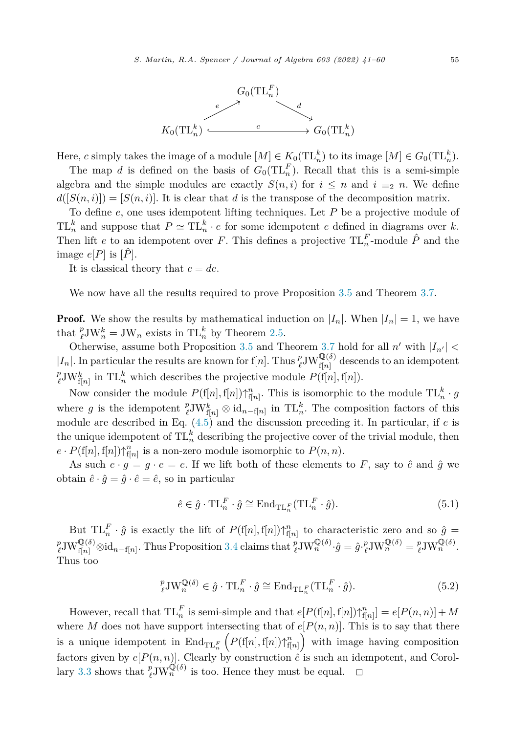

Here, *c* simply takes the image of a module  $[M] \in K_0(\text{TL}_n^k)$  to its image  $[M] \in G_0(\text{TL}_n^k)$ .

The map *d* is defined on the basis of  $G_0(\mathrm{TL}_n^F)$ . Recall that this is a semi-simple algebra and the simple modules are exactly  $S(n,i)$  for  $i \leq n$  and  $i \equiv_2 n$ . We define  $d([S(n,i)]) = [S(n,i)]$ . It is clear that *d* is the transpose of the decomposition matrix.

To define *e*, one uses idempotent lifting techniques. Let *P* be a projective module of  $TL_n^k$  and suppose that  $P \simeq TL_n^k \cdot e$  for some idempotent *e* defined in diagrams over *k*. Then lift *e* to an idempotent over *F*. This defines a projective  $TL_n^F$ -module  $\hat{P}$  and the image  $e[P]$  is  $[P]$ .

It is classical theory that  $c = de$ .

We now have all the results required to prove Proposition [3.5](#page-11-0) and Theorem [3.7](#page-11-0).

**Proof.** We show the results by mathematical induction on  $|I_n|$ . When  $|I_n| = 1$ , we have that  $_{\ell}^{p}$ JW<sub>n</sub><sup>*n*</sup> = JW<sub>n</sub> exists in TL<sub>n</sub><sup>*k*</sup> by Theorem [2.5.](#page-6-0)

Otherwise, assume both Proposition [3.5](#page-11-0) and Theorem [3.7](#page-11-0) hold for all  $n'$  with  $|I_{n'}|$  <  $|I_n|$ . In particular the results are known for f[*n*]. Thus  ${}_{\ell}^p$ JW ${}_{f[n]}^{\mathbb{Q}(\delta)}$  descends to an idempotent  $_{\ell}^{p}$ JW<sub>f[*n*</sub>] in TL<sup>k</sup><sub>*n*</sub> which describes the projective module  $P(f[n], f[n])$ .

Now consider the module  $P(f[n], f[n])\uparrow_{f[n]}^n$ . This is isomorphic to the module  $TL_n^k \cdot g$ where *g* is the idempotent  $_{\ell}^p$ JW<sub>f[*n*]</sub>  $\otimes$  id<sub>*n*−f[*n*] in TL<sup>*k*</sup><sub>*n*</sub>. The composition factors of this</sub> module are described in Eq. [\(4.5](#page-13-0)) and the discussion preceding it. In particular, if *e* is the unique idempotent of  $TL_n^k$  describing the projective cover of the trivial module, then  $e \cdot P(\mathrm{f}[n], \mathrm{f}[n]) \uparrow_{\mathrm{f}[n]}^n$  is a non-zero module isomorphic to  $P(n, n)$ .

As such  $e \cdot g = g \cdot e = e$ . If we lift both of these elements to F, say to  $\hat{e}$  and  $\hat{g}$  we obtain  $\hat{e} \cdot \hat{g} = \hat{g} \cdot \hat{e} = \hat{e}$ , so in particular

$$
\hat{e} \in \hat{g} \cdot \mathrm{TL}_n^F \cdot \hat{g} \cong \mathrm{End}_{\mathrm{TL}_n^F}(\mathrm{TL}_n^F \cdot \hat{g}).\tag{5.1}
$$

But  $TL_n^F \cdot \hat{g}$  is exactly the lift of  $P(f[n], f[n]) \uparrow_{f[n]}^n$  to characteristic zero and so  $\hat{g}$  =  ${}^p_\ell \text{JW}^{\mathbb{Q}(\delta)}_{\{ [n]}\otimes \text{id}_{n-f[n]}.$  Thus Proposition [3.4](#page-11-0) claims that  ${}^p_\ell \text{JW}^{\mathbb{Q}(\delta)}_n \cdot \hat{g} = \hat{g} \cdot {}^p_\ell \text{JW}^{\mathbb{Q}(\delta)}_n = {}^p_\ell \text{JW}^{\mathbb{Q}(\delta)}_n.$ Thus too

$$
{}_{\ell}^{p} \text{JW}_{n}^{\mathbb{Q}(\delta)} \in \hat{g} \cdot \text{TL}_{n}^{F} \cdot \hat{g} \cong \text{End}_{\text{TL}_{n}^{F}}(\text{TL}_{n}^{F} \cdot \hat{g}).\tag{5.2}
$$

However, recall that  $TL_n^F$  is semi-simple and that  $e[P(f[n], f[n])\uparrow_{f[n]}^n] = e[P(n, n)] + M$ where *M* does not have support intersecting that of  $e[P(n, n)]$ . This is to say that there is a unique idempotent in  $\text{End}_{\text{TL}_n^F}\left(P(\text{f}[n], \text{f}[n])\right) \uparrow_{\text{f}[n]}^n$  with image having composition factors given by  $e[P(n, n)]$ . Clearly by construction  $\hat{e}$  is such an idempotent, and Corol-lary [3.3](#page-11-0) shows that  $_{\ell}^p \text{JW}_n^{\mathbb{Q}(\delta)}$  is too. Hence they must be equal.  $\Box$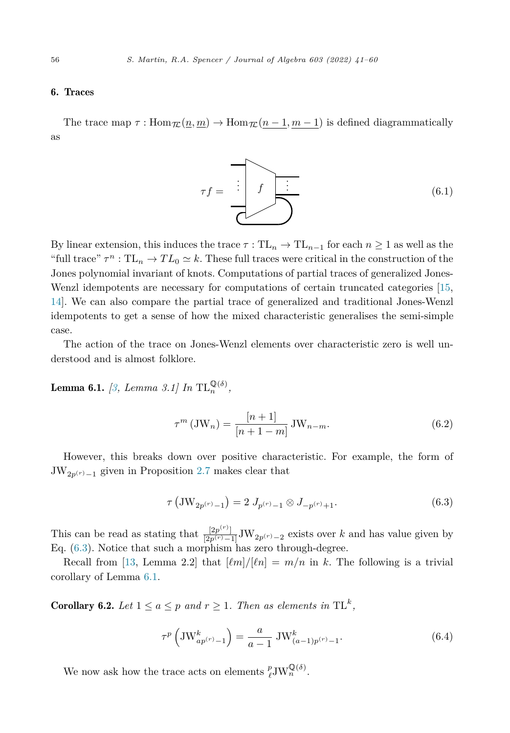#### <span id="page-15-0"></span>6. Traces

The trace map  $\tau$ :  $\text{Hom}_{\mathcal{I\!L}}(\underline{n}, \underline{m}) \to \text{Hom}_{\mathcal{I\!L}}(\underline{n-1}, \underline{m-1})$  is defined diagrammatically as



By linear extension, this induces the trace  $\tau : TL_n \to TL_{n-1}$  for each  $n \geq 1$  as well as the "full trace"  $\tau^n : TL_n \to TL_0 \simeq k$ . These full traces were critical in the construction of the Jones polynomial invariant of knots. Computations of partial traces of generalized Jones-Wenzl idempotents are necessary for computations of certain truncated categories [[15,](#page-19-0) [14\]](#page-19-0). We can also compare the partial trace of generalized and traditional Jones-Wenzl idempotents to get a sense of how the mixed characteristic generalises the semi-simple case.

The action of the trace on Jones-Wenzl elements over characteristic zero is well understood and is almost folklore.

**Lemma 6.1.** *[\[3,](#page-18-0) Lemma 3.1]* In  $TL_n^{\mathbb{Q}(\delta)}$ ,

$$
\tau^{m}(\text{JW}_{n}) = \frac{[n+1]}{[n+1-m]} \text{JW}_{n-m}.
$$
\n(6.2)

However, this breaks down over positive characteristic. For example, the form of  $JW_{2p(r)-1}$  given in Proposition [2.7](#page-7-0) makes clear that

$$
\tau\left(\text{JW}_{2p^{(r)}-1}\right) = 2 J_{p^{(r)}-1} \otimes J_{-p^{(r)}+1}.
$$
\n(6.3)

This can be read as stating that  $\frac{[2p^{(r)}]}{[2p^{(r)}-1]}JW_{2p^{(r)}-2}$  exists over *k* and has value given by Eq. (6.3). Notice that such a morphism has zero through-degree.

Recall from [\[13](#page-18-0), Lemma 2.2] that  $[\ell m]/[\ell n] = m/n$  in k. The following is a trivial corollary of Lemma 6.1.

**Corollary 6.2.** Let  $1 \le a \le p$  and  $r \ge 1$ . Then as elements in  $TL^k$ ,

$$
\tau^p \left( \text{JW}_{ap^{(r)}-1}^k \right) = \frac{a}{a-1} \text{ JW}_{(a-1)p^{(r)}-1}^k. \tag{6.4}
$$

We now ask how the trace acts on elements  $^p_{\ell}$ JW<sub>n</sub><sup>Q(δ)</sup>.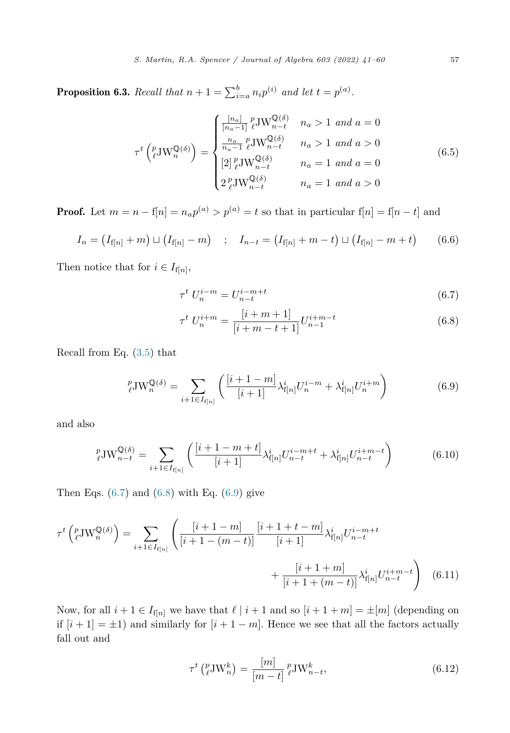<span id="page-16-0"></span>**Proposition 6.3.** Recall that  $n + 1 = \sum_{i=a}^{b} n_i p^{(i)}$  and let  $t = p^{(a)}$ .

$$
\tau^{t}\left(\begin{array}{c} p_{\nu} \\ \ell^{J} \end{array}\right) = \begin{cases} \frac{[n_{a}]}{[n_{a}-1]} \int_{\ell}^{p} J W_{n-t}^{\mathbb{Q}(\delta)} & n_{a} > 1 \text{ and } a = 0\\ \frac{n_{a}}{n_{a}-1} \int_{\ell}^{p} J W_{n-t}^{\mathbb{Q}(\delta)} & n_{a} > 1 \text{ and } a > 0\\ [2] \int_{\ell}^{p} J W_{n-t}^{\mathbb{Q}(\delta)} & n_{a} = 1 \text{ and } a = 0\\ 2 \int_{\ell}^{p} J W_{n-t}^{\mathbb{Q}(\delta)} & n_{a} = 1 \text{ and } a > 0 \end{cases}
$$
(6.5)

**Proof.** Let  $m = n - f[n] = n_a p^{(a)} > p^{(a)} = t$  so that in particular  $f[n] = f[n - t]$  and

$$
I_n = (I_{f[n]} + m) \sqcup (I_{f[n]} - m) \quad ; \quad I_{n-t} = (I_{f[n]} + m - t) \sqcup (I_{f[n]} - m + t) \tag{6.6}
$$

Then notice that for  $i \in I_{f[n]},$ 

$$
\tau^t \ U_n^{i-m} = U_{n-t}^{i-m+t} \tag{6.7}
$$

$$
\tau^t U_n^{i+m} = \frac{[i+m+1]}{[i+m-t+1]} U_{n-1}^{i+m-t}
$$
\n(6.8)

Recall from Eq. [\(3.5](#page-10-0)) that

$$
{}_{\ell}^{p} \text{JW}_{n}^{\mathbb{Q}(\delta)} = \sum_{i+1 \in I_{f[n]}} \left( \frac{[i+1-m]}{[i+1]} \lambda_{f[n]}^{i} U_{n}^{i-m} + \lambda_{f[n]}^{i} U_{n}^{i+m} \right) \tag{6.9}
$$

and also

$$
{}_{\ell}^{p} \text{JW}_{n-t}^{\mathbb{Q}(\delta)} = \sum_{i+1 \in I_{\text{f}[n]}} \left( \frac{[i+1-m+t]}{[i+1]} \lambda_{\text{f}[n]}^{i} U_{n-t}^{i-m+t} + \lambda_{\text{f}[n]}^{i} U_{n-t}^{i+m-t} \right) \tag{6.10}
$$

Then Eqs.  $(6.7)$  and  $(6.8)$  with Eq.  $(6.9)$  give

$$
\tau^{t} \left( {}_{\ell}^{p} \mathbf{J} \mathbf{W}_{n}^{\mathbb{Q}(\delta)} \right) = \sum_{i+1 \in I_{f[n]}} \left( \frac{[i+1-m]}{[i+1-(m-t)]} \frac{[i+1+t-m]}{[i+1]} \lambda_{f[n]}^{i} U_{n-t}^{i-m+t} + \frac{[i+1+m]}{[i+1+(m-t)]} \lambda_{f[n]}^{i} U_{n-t}^{i+m-t} \right) \tag{6.11}
$$

Now, for all  $i + 1 \in I_{f[n]}$  we have that  $\ell \mid i + 1$  and so  $[i + 1 + m] = \pm [m]$  (depending on if  $[i + 1] = \pm 1$ ) and similarly for  $[i + 1 - m]$ . Hence we see that all the factors actually fall out and

$$
\tau^t\left(\begin{matrix}p\\ \ell\end{matrix}\right)W_n^k\right) = \frac{[m]}{[m-t]} \, \, \ell^t W_{n-t}^k,\tag{6.12}
$$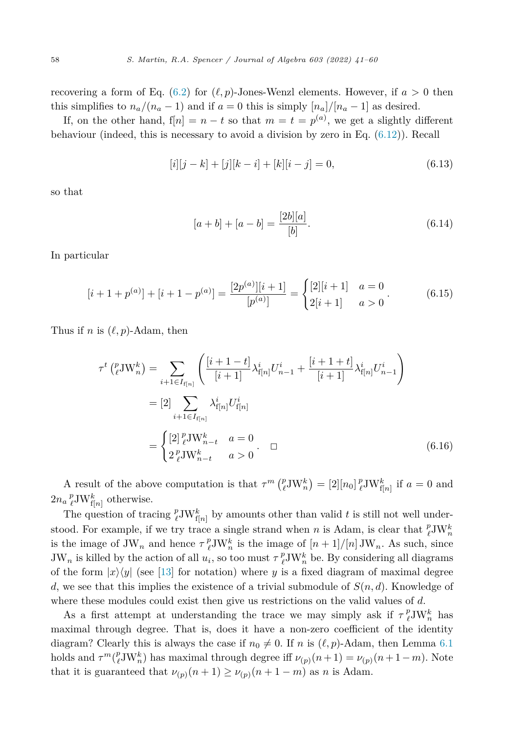recovering a form of Eq. [\(6.2\)](#page-15-0) for  $(\ell, p)$ -Jones-Wenzl elements. However, if  $a > 0$  then this simplifies to  $n_a/(n_a - 1)$  and if  $a = 0$  this is simply  $[n_a]/[n_a - 1]$  as desired.

If, on the other hand,  $f[n] = n - t$  so that  $m = t = p^{(a)}$ , we get a slightly different behaviour (indeed, this is necessary to avoid a division by zero in Eq. [\(6.12\)](#page-16-0)). Recall

$$
[i][j - k] + [j][k - i] + [k][i - j] = 0,
$$
\n(6.13)

so that

$$
[a+b] + [a-b] = \frac{[2b][a]}{[b]}.
$$
\n(6.14)

In particular

$$
[i+1+p^{(a)}]+[i+1-p^{(a)}]=\frac{[2p^{(a)}][i+1]}{[p^{(a)}]}=\begin{cases} [2][i+1] & a=0\\ 2[i+1] & a>0 \end{cases}
$$
(6.15)

Thus if *n* is  $(\ell, p)$ -Adam, then

$$
\tau^{t} \left( {}_{\ell}^{p} \text{J} \text{W}_{n}^{k} \right) = \sum_{i+1 \in I_{f[n]}} \left( \frac{[i+1-t]}{[i+1]} \lambda_{f[n]}^{i} U_{n-1}^{i} + \frac{[i+1+t]}{[i+1]} \lambda_{f[n]}^{i} U_{n-1}^{i} \right)
$$

$$
= [2] \sum_{i+1 \in I_{f[n]}} \lambda_{f[n]}^{i} U_{f[n]}^{i}
$$

$$
= \begin{cases} [2] {}_{\ell}^{p} \text{J} \text{W}_{n-t}^{k} & a = 0 \\ 2 {}_{\ell}^{p} \text{J} \text{W}_{n-t}^{k} & a > 0 \end{cases} \square
$$
(6.16)

A result of the above computation is that  $\tau^m \left( \frac{p}{\ell} J W_n^k \right) = [2][n_0] \frac{p}{\ell} J W_{f[n]}^k$  if  $a = 0$  and  $2n_a\frac{p}{\ell}JW_{f[n]}^k$  otherwise.

The question of tracing  $^p_{\ell}$ JW<sub>f[n]</sub> by amounts other than valid t is still not well understood. For example, if we try trace a single strand when *n* is Adam, is clear that  $^p_{\ell}$ JW<sup>k</sup><sub>n</sub> is the image of  $JW_n$  and hence  $\tau_{\ell}^p JW_n^k$  is the image of  $[n+1]/[n] JW_n$ . As such, since  $JW_n$  is killed by the action of all  $u_i$ , so too must  $\tau \ell^D \nu W_n^k$  be. By considering all diagrams of the form  $|x\rangle\langle y|$  (see [\[13](#page-18-0)] for notation) where *y* is a fixed diagram of maximal degree *d*, we see that this implies the existence of a trivial submodule of  $S(n, d)$ . Knowledge of where these modules could exist then give us restrictions on the valid values of *d*.

As a first attempt at understanding the trace we may simply ask if  $\tau_{\ell}^p J W_n^k$  has maximal through degree. That is, does it have a non-zero coefficient of the identity diagram? Clearly this is always the case if  $n_0 \neq 0$ . If *n* is  $(\ell, p)$ -Adam, then Lemma [6.1](#page-15-0) holds and  $\tau^m\binom{p}{\ell}W_n^k$  has maximal through degree iff  $\nu_{(p)}(n+1) = \nu_{(p)}(n+1-m)$ . Note that it is guaranteed that  $\nu_{(p)}(n+1) \geq \nu_{(p)}(n+1-m)$  as *n* is Adam.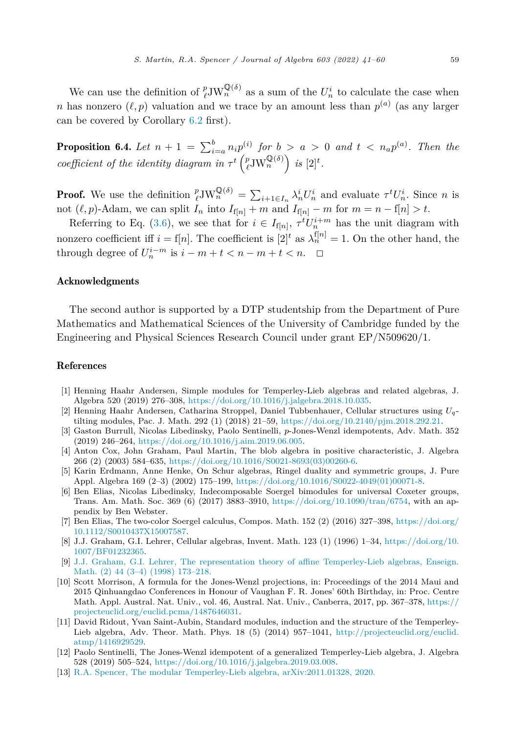<span id="page-18-0"></span>**Proposition 6.4.** Let  $n + 1 = \sum_{i=a}^{b} n_i p_i^{(i)}$  for  $b > a > 0$  and  $t < n_a p_i^{(a)}$ . Then the  $\text{coefficient of the identity diagram in } \tau^t\left(\frac{p}{\ell}\text{JW}_n^{\mathbb{Q}(\delta)}\right)$  is  $[2]^t$ .

**Proof.** We use the definition  ${}^p_{\ell}$ JW ${}^{\mathbb{Q}(\delta)}_{n} = \sum_{i+1 \in I_n} \lambda_n^i U_n^i$  and evaluate  $\tau^t U_n^i$ . Since *n* is not  $(\ell, p)$ -Adam, we can split  $I_n$  into  $I_{f[n]} + m$  and  $I_{f[n]} - m$  for  $m = n - f[n] > t$ .

Referring to Eq. [\(3.6](#page-10-0)), we see that for  $i \in I_{f[n]}$ ,  $\tau^t U_n^{i+m}$  has the unit diagram with nonzero coefficient iff  $i = f[n]$ . The coefficient is  $[2]^t$  as  $\lambda_n^{f[n]} = 1$ . On the other hand, the through degree of  $U_n^{i-m}$  is  $i - m + t < n - m + t < n$ .  $\Box$ 

#### Acknowledgments

The second author is supported by a DTP studentship from the Department of Pure Mathematics and Mathematical Sciences of the University of Cambridge funded by the Engineering and Physical Sciences Research Council under grant EP/N509620/1.

#### References

- [1] Henning Haahr Andersen, Simple modules for Temperley-Lieb algebras and related algebras, J. Algebra 520 (2019) 276–308, <https://doi.org/10.1016/j.jalgebra.2018.10.035>.
- [2] Henning Haahr Andersen, Catharina Stroppel, Daniel Tubbenhauer, Cellular structures using *U<sup>q</sup>* tilting modules, Pac. J. Math. 292 (1) (2018) 21–59, [https://doi.org/10.2140/pjm.2018.292.21.](https://doi.org/10.2140/pjm.2018.292.21)
- [3] Gaston Burrull, Nicolas Libedinsky, Paolo Sentinelli, *p*-Jones-Wenzl idempotents, Adv. Math. 352 (2019) 246–264, <https://doi.org/10.1016/j.aim.2019.06.005>.
- [4] Anton Cox, John Graham, Paul Martin, The blob algebra in positive characteristic, J. Algebra 266 (2) (2003) 584–635, [https://doi.org/10.1016/S0021-8693\(03\)00260-6](https://doi.org/10.1016/S0021-8693(03)00260-6).
- [5] Karin Erdmann, Anne Henke, On Schur algebras, Ringel duality and symmetric groups, J. Pure Appl. Algebra 169 (2–3) (2002) 175–199, [https://doi.org/10.1016/S0022-4049\(01\)00071-8](https://doi.org/10.1016/S0022-4049(01)00071-8).
- [6] Ben Elias, Nicolas Libedinsky, Indecomposable Soergel bimodules for universal Coxeter groups, Trans. Am. Math. Soc. 369 (6) (2017) 3883–3910, <https://doi.org/10.1090/tran/6754>, with an appendix by Ben Webster.
- [7] Ben Elias, The two-color Soergel calculus, Compos. Math. 152 (2) (2016) 327–398, [https://doi.org/](https://doi.org/10.1112/S0010437X15007587) [10.1112/S0010437X15007587.](https://doi.org/10.1112/S0010437X15007587)
- [8] J.J. Graham, G.I. Lehrer, Cellular algebras, Invent. Math. 123 (1) (1996) 1–34, [https://doi.org/10.](https://doi.org/10.1007/BF01232365) [1007/BF01232365](https://doi.org/10.1007/BF01232365).
- [9] J.J. Graham, G.I. Lehrer, The representation theory of affine [Temperley-Lieb](http://refhub.elsevier.com/S0021-8693(22)00133-8/bib1A33BFD58A1A336EDAA534094285D205s1) algebras, Enseign. Math. (2) 44 (3–4) (1998) [173–218.](http://refhub.elsevier.com/S0021-8693(22)00133-8/bib1A33BFD58A1A336EDAA534094285D205s1)
- [10] Scott Morrison, A formula for the Jones-Wenzl projections, in: Proceedings of the 2014 Maui and 2015 Qinhuangdao Conferences in Honour of Vaughan F. R. Jones' 60th Birthday, in: Proc. Centre Math. Appl. Austral. Nat. Univ., vol. 46, Austral. Nat. Univ., Canberra, 2017, pp. 367–378, [https://](https://projecteuclid.org/euclid.pcma/1487646031) [projecteuclid.org/euclid.pcma/1487646031.](https://projecteuclid.org/euclid.pcma/1487646031)
- [11] David Ridout, Yvan Saint-Aubin, Standard modules, induction and the structure of the Temperley-Lieb algebra, Adv. Theor. Math. Phys. 18 (5) (2014) 957–1041, [http://projecteuclid.org/euclid.](http://projecteuclid.org/euclid.atmp/1416929529) [atmp/1416929529.](http://projecteuclid.org/euclid.atmp/1416929529)
- [12] Paolo Sentinelli, The Jones-Wenzl idempotent of a generalized Temperley-Lieb algebra, J. Algebra 528 (2019) 505–524, <https://doi.org/10.1016/j.jalgebra.2019.03.008>.
- [13] R.A. Spencer, The modular Temperley-Lieb algebra, [arXiv:2011.01328,](http://refhub.elsevier.com/S0021-8693(22)00133-8/bibF0A7BA92158C8E2C98FA44EDE405C5BDs1) 2020.